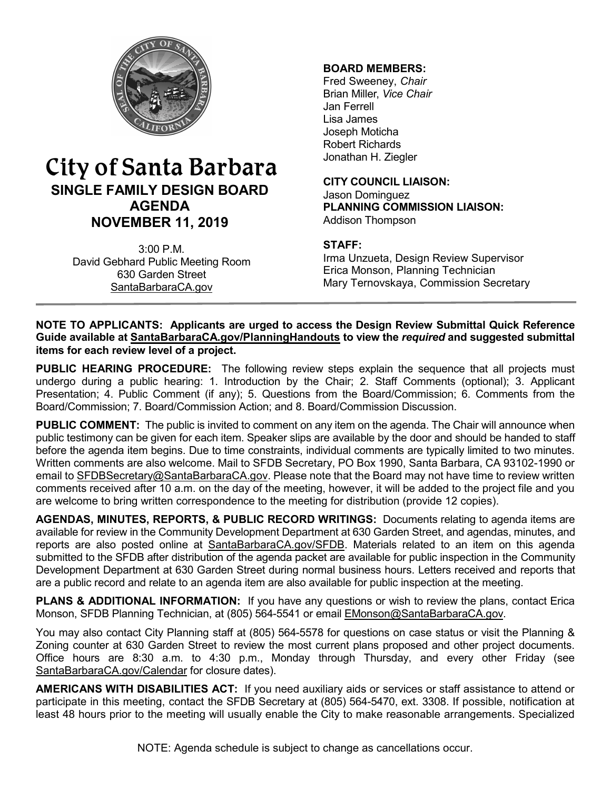

# City of Santa Barbara **SINGLE FAMILY DESIGN BOARD AGENDA NOVEMBER 11, 2019**

3:00 P.M. David Gebhard Public Meeting Room 630 Garden Street [SantaBarbaraCA.gov](http://www.santabarbaraca.gov/)

#### **BOARD MEMBERS:**

Fred Sweeney, *Chair* Brian Miller, *Vice Chair* Jan Ferrell Lisa James Joseph Moticha Robert Richards Jonathan H. Ziegler

**CITY COUNCIL LIAISON:** Jason Dominguez **PLANNING COMMISSION LIAISON:** Addison Thompson

## **STAFF:**

Irma Unzueta, Design Review Supervisor Erica Monson, Planning Technician Mary Ternovskaya, Commission Secretary

#### **NOTE TO APPLICANTS: Applicants are urged to access the Design Review Submittal Quick Reference Guide available at [SantaBarbaraCA.gov/PlanningHandouts](http://www.santabarbaraca.gov/services/planning/forms/planning.asp?utm_source=CommunityDevelopment&utm_medium=PlanningHandouts&utm_campaign=QuickLinks) to view the** *required* **and suggested submittal items for each review level of a project.**

**PUBLIC HEARING PROCEDURE:** The following review steps explain the sequence that all projects must undergo during a public hearing: 1. Introduction by the Chair; 2. Staff Comments (optional); 3. Applicant Presentation; 4. Public Comment (if any); 5. Questions from the Board/Commission; 6. Comments from the Board/Commission; 7. Board/Commission Action; and 8. Board/Commission Discussion.

**PUBLIC COMMENT:** The public is invited to comment on any item on the agenda. The Chair will announce when public testimony can be given for each item. Speaker slips are available by the door and should be handed to staff before the agenda item begins. Due to time constraints, individual comments are typically limited to two minutes. Written comments are also welcome. Mail to SFDB Secretary, PO Box 1990, Santa Barbara, CA 93102-1990 or email to [SFDBSecretary@SantaBarbaraCA.gov](mailto:SFDBSecretary@SantaBarbaraCA.gov). Please note that the Board may not have time to review written comments received after 10 a.m. on the day of the meeting, however, it will be added to the project file and you are welcome to bring written correspondence to the meeting for distribution (provide 12 copies).

AGENDAS, MINUTES, REPORTS, & PUBLIC RECORD WRITINGS: Documents relating to agenda items are available for review in the Community Development Department at 630 Garden Street, and agendas, minutes, and reports are also posted online at [SantaBarbaraCA.gov/SFDB](http://www.santabarbaraca.gov/gov/brdcomm/nz/sfdb/agendas.asp). Materials related to an item on this agenda submitted to the SFDB after distribution of the agenda packet are available for public inspection in the Community Development Department at 630 Garden Street during normal business hours. Letters received and reports that are a public record and relate to an agenda item are also available for public inspection at the meeting.

**PLANS & ADDITIONAL INFORMATION:** If you have any questions or wish to review the plans, contact Erica Monson, SFDB Planning Technician, at (805) 564-5541 or email [EMonson@SantaBarbaraCA.gov](mailto:EMonson@SantaBarbaraCA.gov).

You may also contact City Planning staff at (805) 564-5578 for questions on case status or visit the Planning & Zoning counter at 630 Garden Street to review the most current plans proposed and other project documents. Office hours are 8:30 a.m. to 4:30 p.m., Monday through Thursday, and every other Friday (see [SantaBarbaraCA.gov/Calendar](http://www.santabarbaraca.gov/cals/default.asp) for closure dates).

**AMERICANS WITH DISABILITIES ACT:** If you need auxiliary aids or services or staff assistance to attend or participate in this meeting, contact the SFDB Secretary at (805) 564-5470, ext. 3308. If possible, notification at least 48 hours prior to the meeting will usually enable the City to make reasonable arrangements. Specialized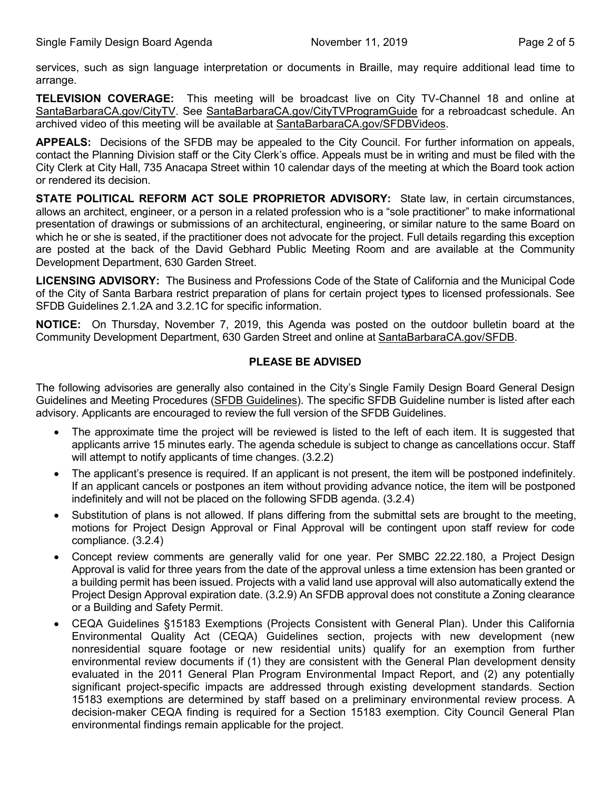services, such as sign language interpretation or documents in Braille, may require additional lead time to arrange.

**TELEVISION COVERAGE:** This meeting will be broadcast live on City TV-Channel 18 and online at [SantaBarbaraCA.gov/CityTV](http://www.santabarbaraca.gov/CityTV). See [SantaBarbaraCA.gov/CityTVProgramGuide](http://www.santabarbaraca.gov/CityTVProgramGuide) for a rebroadcast schedule. An archived video of this meeting will be available at [SantaBarbaraCA.gov/SFDBVideos.](http://www.santabarbaraca.gov/gov/brdcomm/nz/sfdb/videos.asp)

**APPEALS:** Decisions of the SFDB may be appealed to the City Council. For further information on appeals, contact the Planning Division staff or the City Clerk's office. Appeals must be in writing and must be filed with the City Clerk at City Hall, 735 Anacapa Street within 10 calendar days of the meeting at which the Board took action or rendered its decision.

**STATE POLITICAL REFORM ACT SOLE PROPRIETOR ADVISORY:** State law, in certain circumstances, allows an architect, engineer, or a person in a related profession who is a "sole practitioner" to make informational presentation of drawings or submissions of an architectural, engineering, or similar nature to the same Board on which he or she is seated, if the practitioner does not advocate for the project. Full details regarding this exception are posted at the back of the David Gebhard Public Meeting Room and are available at the Community Development Department, 630 Garden Street.

**LICENSING ADVISORY:** The Business and Professions Code of the State of California and the Municipal Code of the City of Santa Barbara restrict preparation of plans for certain project types to licensed professionals. See SFDB Guidelines 2.1.2A and 3.2.1C for specific information.

**NOTICE:** On Thursday, November 7, 2019, this Agenda was posted on the outdoor bulletin board at the Community Development Department, 630 Garden Street and online at [SantaBarbaraCA.gov/SFDB.](http://www.santabarbaraca.gov/gov/brdcomm/nz/sfdb/agendas.asp)

#### **PLEASE BE ADVISED**

The following advisories are generally also contained in the City's Single Family Design Board General Design Guidelines and Meeting Procedures (SFDB [Guidelines\)](http://www.santabarbaraca.gov/services/planning/design/boards/sfdb.asp). The specific SFDB Guideline number is listed after each advisory. Applicants are encouraged to review the full version of the SFDB Guidelines.

- The approximate time the project will be reviewed is listed to the left of each item. It is suggested that applicants arrive 15 minutes early. The agenda schedule is subject to change as cancellations occur. Staff will attempt to notify applicants of time changes. (3.2.2)
- The applicant's presence is required. If an applicant is not present, the item will be postponed indefinitely. If an applicant cancels or postpones an item without providing advance notice, the item will be postponed indefinitely and will not be placed on the following SFDB agenda. (3.2.4)
- · Substitution of plans is not allowed. If plans differing from the submittal sets are brought to the meeting, motions for Project Design Approval or Final Approval will be contingent upon staff review for code compliance. (3.2.4)
- Concept review comments are generally valid for one year. Per SMBC 22.22.180, a Project Design Approval is valid for three years from the date of the approval unless a time extension has been granted or a building permit has been issued. Projects with a valid land use approval will also automatically extend the Project Design Approval expiration date. (3.2.9) An SFDB approval does not constitute a Zoning clearance or a Building and Safety Permit.
- · CEQA Guidelines §15183 Exemptions (Projects Consistent with General Plan). Under this California Environmental Quality Act (CEQA) Guidelines section, projects with new development (new nonresidential square footage or new residential units) qualify for an exemption from further environmental review documents if (1) they are consistent with the General Plan development density evaluated in the 2011 General Plan Program Environmental Impact Report, and (2) any potentially significant project-specific impacts are addressed through existing development standards. Section 15183 exemptions are determined by staff based on a preliminary environmental review process. A decision-maker CEQA finding is required for a Section 15183 exemption. City Council General Plan environmental findings remain applicable for the project.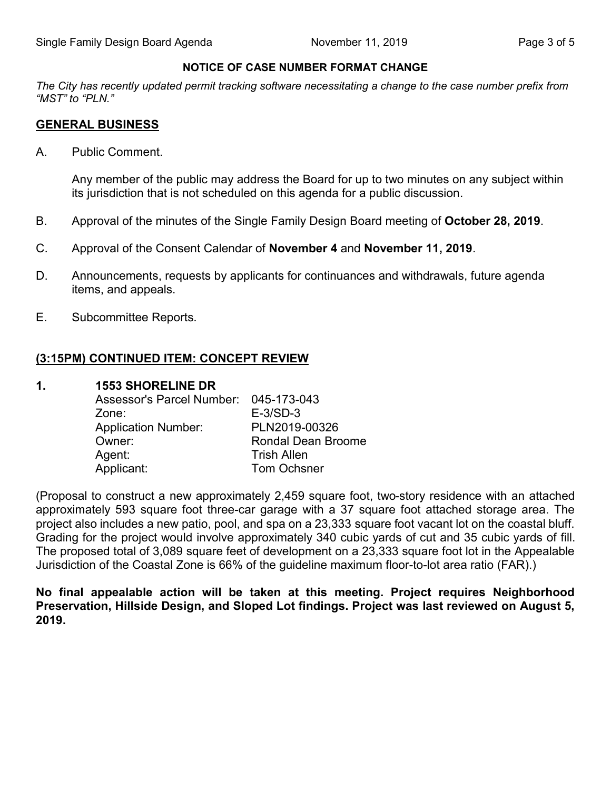## **NOTICE OF CASE NUMBER FORMAT CHANGE**

*The City has recently updated permit tracking software necessitating a change to the case number prefix from "MST" to "PLN."*

## **GENERAL BUSINESS**

A. Public Comment.

Any member of the public may address the Board for up to two minutes on any subject within its jurisdiction that is not scheduled on this agenda for a public discussion.

- B. Approval of the minutes of the Single Family Design Board meeting of **October 28, 2019**.
- C. Approval of the Consent Calendar of **November 4** and **November 11, 2019**.
- D. Announcements, requests by applicants for continuances and withdrawals, future agenda items, and appeals.
- E. Subcommittee Reports.

# **(3:15PM) CONTINUED ITEM: CONCEPT REVIEW**

## **1. 1553 SHORELINE DR**

| Assessor's Parcel Number: 045-173-043 |                           |
|---------------------------------------|---------------------------|
| Zone:                                 | $E-3/SD-3$                |
| <b>Application Number:</b>            | PLN2019-00326             |
| Owner:                                | <b>Rondal Dean Broome</b> |
| Agent:                                | <b>Trish Allen</b>        |
| Applicant:                            | <b>Tom Ochsner</b>        |

(Proposal to construct a new approximately 2,459 square foot, two-story residence with an attached approximately 593 square foot three-car garage with a 37 square foot attached storage area. The project also includes a new patio, pool, and spa on a 23,333 square foot vacant lot on the coastal bluff. Grading for the project would involve approximately 340 cubic yards of cut and 35 cubic yards of fill. The proposed total of 3,089 square feet of development on a 23,333 square foot lot in the Appealable Jurisdiction of the Coastal Zone is 66% of the guideline maximum floor-to-lot area ratio (FAR).)

**No final appealable action will be taken at this meeting. Project requires Neighborhood Preservation, Hillside Design, and Sloped Lot findings. Project was last reviewed on August 5, 2019.**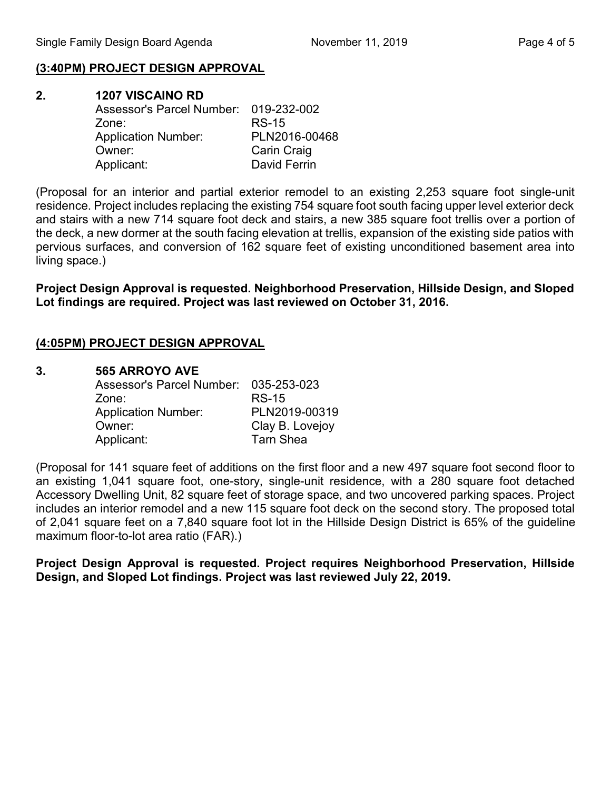#### **(3:40PM) PROJECT DESIGN APPROVAL**

| 2. | <b>1207 VISCAINO RD</b>               |                    |  |
|----|---------------------------------------|--------------------|--|
|    | Assessor's Parcel Number: 019-232-002 |                    |  |
|    | Zone:                                 | <b>RS-15</b>       |  |
|    | <b>Application Number:</b>            | PLN2016-00468      |  |
|    | Owner:                                | <b>Carin Craig</b> |  |
|    | Applicant:                            | David Ferrin       |  |

(Proposal for an interior and partial exterior remodel to an existing 2,253 square foot single-unit residence. Project includes replacing the existing 754 square foot south facing upper level exterior deck and stairs with a new 714 square foot deck and stairs, a new 385 square foot trellis over a portion of the deck, a new dormer at the south facing elevation at trellis, expansion of the existing side patios with pervious surfaces, and conversion of 162 square feet of existing unconditioned basement area into living space.)

**Project Design Approval is requested. Neighborhood Preservation, Hillside Design, and Sloped Lot findings are required. Project was last reviewed on October 31, 2016.**

#### **(4:05PM) PROJECT DESIGN APPROVAL**

#### **3. 565 ARROYO AVE**

| Assessor's Parcel Number: 035-253-023 |                  |
|---------------------------------------|------------------|
| Zone:                                 | <b>RS-15</b>     |
| <b>Application Number:</b>            | PLN2019-00319    |
| Owner:                                | Clay B. Lovejoy  |
| Applicant:                            | <b>Tarn Shea</b> |

(Proposal for 141 square feet of additions on the first floor and a new 497 square foot second floor to an existing 1,041 square foot, one-story, single-unit residence, with a 280 square foot detached Accessory Dwelling Unit, 82 square feet of storage space, and two uncovered parking spaces. Project includes an interior remodel and a new 115 square foot deck on the second story. The proposed total of 2,041 square feet on a 7,840 square foot lot in the Hillside Design District is 65% of the guideline maximum floor-to-lot area ratio (FAR).)

**Project Design Approval is requested. Project requires Neighborhood Preservation, Hillside Design, and Sloped Lot findings. Project was last reviewed July 22, 2019.**